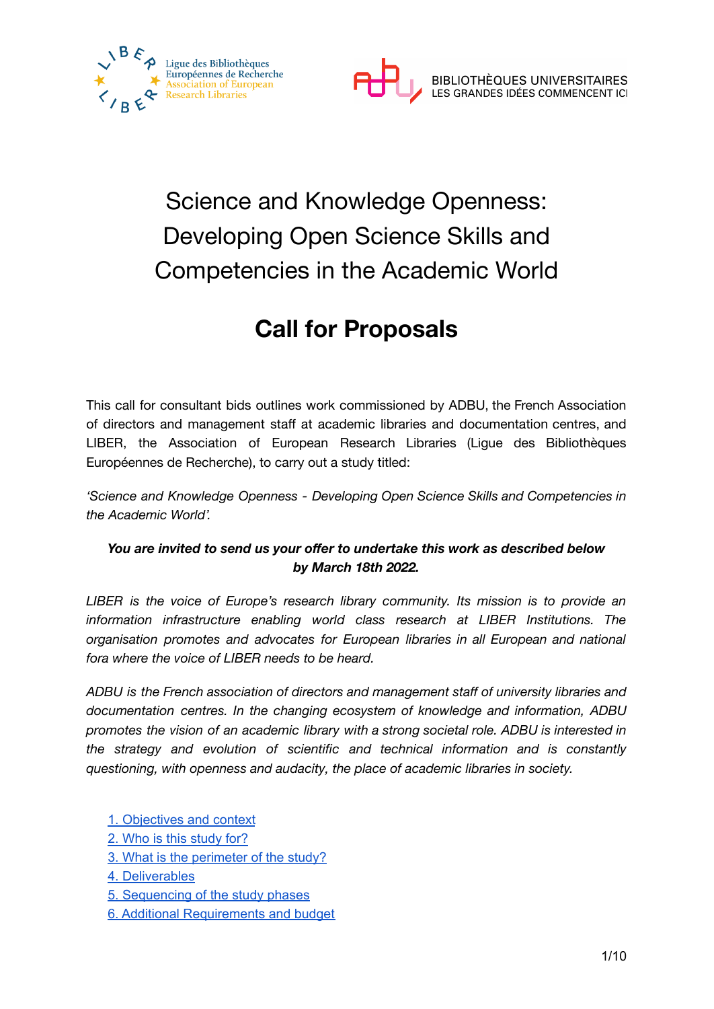



# Science and Knowledge Openness: Developing Open Science Skills and Competencies in the Academic World

# **Call for Proposals**

This call for consultant bids outlines work commissioned by ADBU, the French Association of directors and management staff at academic libraries and documentation centres, and LIBER, the Association of European Research Libraries (Ligue des Bibliothèques Européennes de Recherche), to carry out a study titled:

*'Science and Knowledge Openness - Developing Open Science Skills and Competencies in the Academic World'.*

### *You are invited to send us your offer to undertake this work as described below by March 18th 2022.*

*LIBER is the voice of Europe's research library community. Its mission is to provide an information infrastructure enabling world class research at LIBER Institutions. The organisation promotes and advocates for European libraries in all European and national fora where the voice of LIBER needs to be heard.*

*ADBU is the French association of directors and management staff of university libraries and documentation centres. In the changing ecosystem of knowledge and information, ADBU promotes the vision of an academic library with a strong societal role. ADBU is interested in the strategy and evolution of scientific and technical information and is constantly questioning, with openness and audacity, the place of academic libraries in society.*

- 1. [Objectives](#page-1-0) and context
- 2. Who is this [study](#page-2-0) for?
- 3. What is the [perimeter](#page-2-1) of the study?
- 4. [Deliverables](#page-2-2)
- 5. [Sequencing](#page-5-0) of the study phases
- 6. Additional [Requirements](#page-6-0) and budget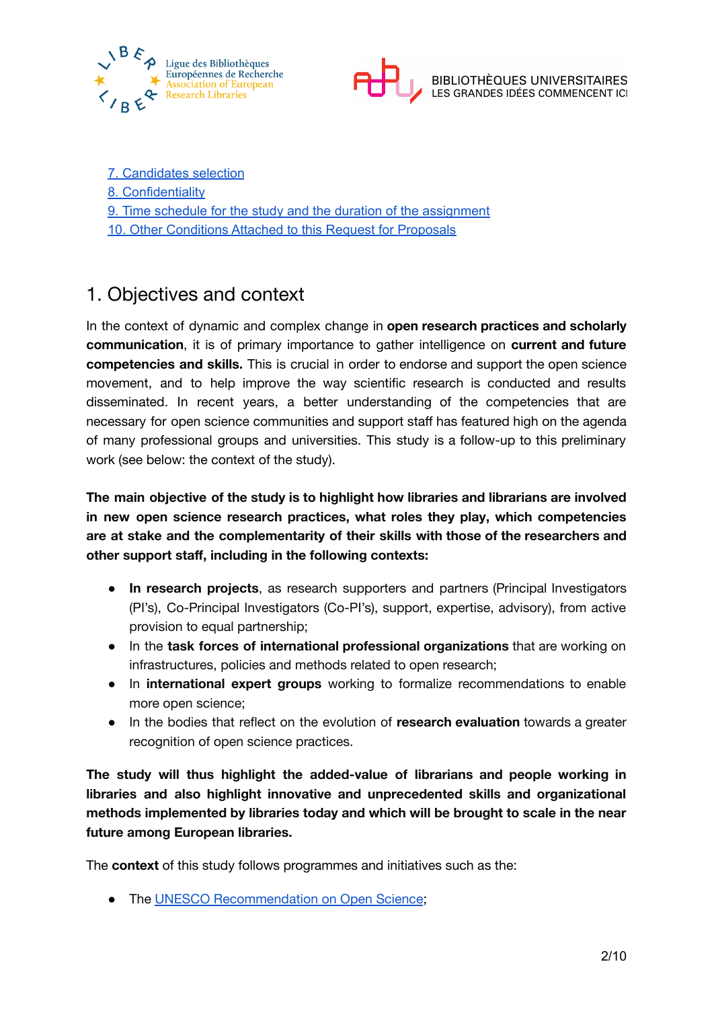



- 7. [Candidates](#page-6-1) selection
- 8. [Confidentiality](#page-7-0)
- 9. Time schedule for the study and the duration of the [assignment](#page-8-0)
- 10. Other [Conditions](#page-8-1) Attached to this Request for Proposals

### <span id="page-1-0"></span>1. Objectives and context

In the context of dynamic and complex change in **open research practices and scholarly communication**, it is of primary importance to gather intelligence on **current and future competencies and skills.** This is crucial in order to endorse and support the open science movement, and to help improve the way scientific research is conducted and results disseminated. In recent years, a better understanding of the competencies that are necessary for open science communities and support staff has featured high on the agenda of many professional groups and universities. This study is a follow-up to this preliminary work (see below: the context of the study).

**The main objective of the study is to highlight how libraries and librarians are involved in new open science research practices, what roles they play, which competencies are at stake and the complementarity of their skills with those of the researchers and other support staff, including in the following contexts:**

- **In research projects**, as research supporters and partners (Principal Investigators (PI's), Co-Principal Investigators (Co-PI's), support, expertise, advisory), from active provision to equal partnership;
- In the **task forces of international professional organizations** that are working on infrastructures, policies and methods related to open research;
- In **international expert groups** working to formalize recommendations to enable more open science;
- In the bodies that reflect on the evolution of **research evaluation** towards a greater recognition of open science practices.

**The study will thus highlight the added-value of librarians and people working in libraries and also highlight innovative and unprecedented skills and organizational methods implemented by libraries today and which will be brought to scale in the near future among European libraries.**

The **context** of this study follows programmes and initiatives such as the:

● The UNESCO [Recommendation](https://en.unesco.org/science-sustainable-future/open-science/recommendation) on Open Science;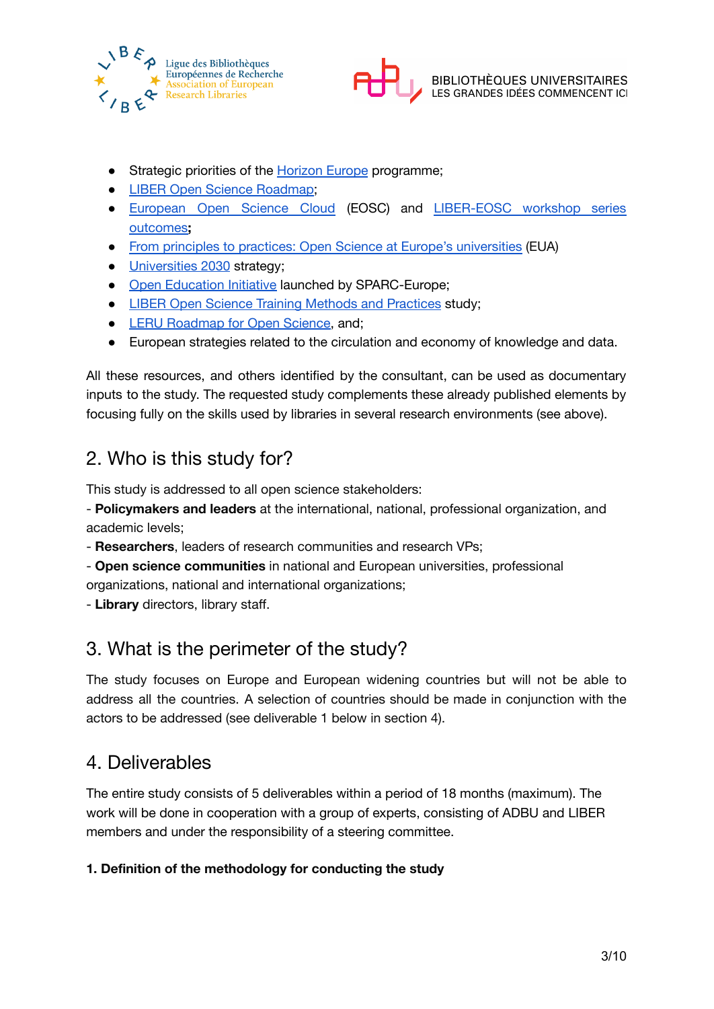



- Strategic priorities of the [Horizon](https://ec.europa.eu/info/horizon-europe_en#missions-in-horizon-europe) Europe programme;
- LIBER Open Science [Roadmap](https://zenodo.org/record/1303002#.YG3Fl-gzZPZ);
- [European](https://eosc-portal.eu/) Open Science Cloud (EOSC) and [LIBER-EOSC](https://libereurope.eu/article/eosc-workshop-series-outcomes/?mc_cid=ed7ee53e48&mc_eid=a077d8f993) workshop series [outcomes](https://libereurope.eu/article/eosc-workshop-series-outcomes/?mc_cid=ed7ee53e48&mc_eid=a077d8f993)**;**
- From principles to practices: Open Science at Europe's [universities](https://eua.eu/downloads/publications/2021%20os%20survey%20report.pdf) (EUA)
- [Universities](https://op.europa.eu/en/publication-detail/-/publication/a3cde934-12a0-11eb-9a54-01aa75ed71a1/) 2030 strategy;
- Open [Education](https://sparceurope.org/what-we-do/open-education/) Initiative launched by SPARC-Europe:
- LIBER Open Science Training Methods and [Practices](https://zenodo.org/record/3903142#.YG9UrmQzZ25) study;
- LERU [Roadmap](https://www.leru.org/publications/open-science-and-its-role-in-universities-a-roadmap-for-cultural-change) for Open Science, and;
- European strategies related to the circulation and economy of knowledge and data.

All these resources, and others identified by the consultant, can be used as documentary inputs to the study. The requested study complements these already published elements by focusing fully on the skills used by libraries in several research environments (see above).

### <span id="page-2-0"></span>2. Who is this study for?

This study is addressed to all open science stakeholders:

- **Policymakers and leaders** at the international, national, professional organization, and academic levels;

- **Researchers**, leaders of research communities and research VPs;
- **Open science communities** in national and European universities, professional organizations, national and international organizations;
- <span id="page-2-1"></span>- **Library** directors, library staff.

# 3. What is the perimeter of the study?

The study focuses on Europe and European widening countries but will not be able to address all the countries. A selection of countries should be made in conjunction with the actors to be addressed (see deliverable 1 below in section 4).

### <span id="page-2-2"></span>4. Deliverables

The entire study consists of 5 deliverables within a period of 18 months (maximum). The work will be done in cooperation with a group of experts, consisting of ADBU and LIBER members and under the responsibility of a steering committee.

### **1. Definition of the methodology for conducting the study**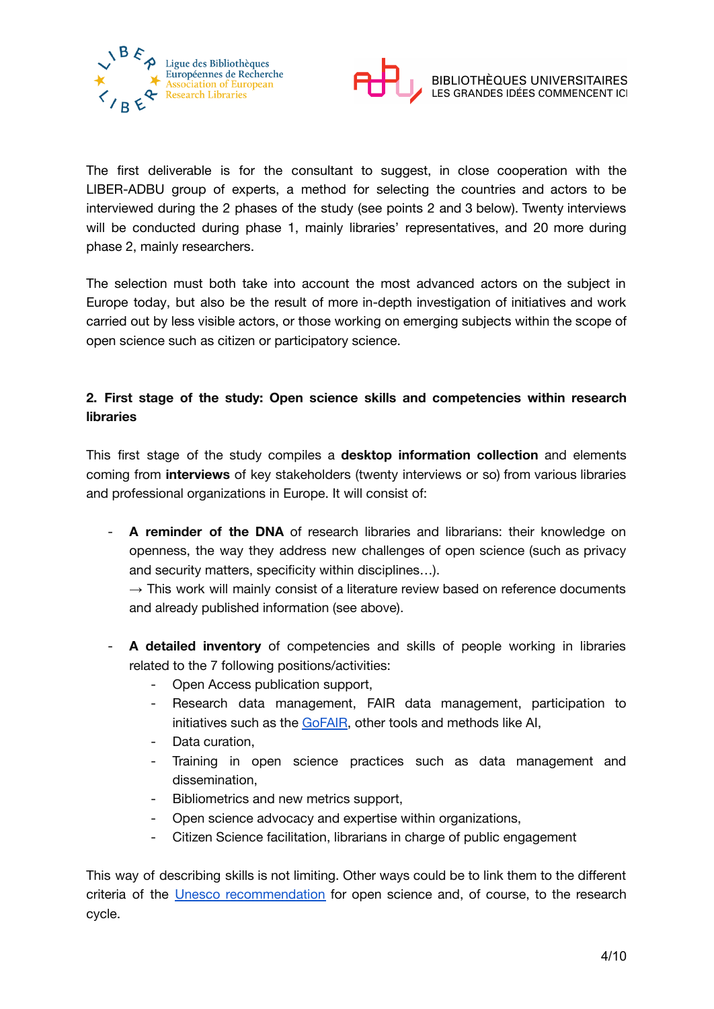



The first deliverable is for the consultant to suggest, in close cooperation with the LIBER-ADBU group of experts, a method for selecting the countries and actors to be interviewed during the 2 phases of the study (see points 2 and 3 below). Twenty interviews will be conducted during phase 1, mainly libraries' representatives, and 20 more during phase 2, mainly researchers.

The selection must both take into account the most advanced actors on the subject in Europe today, but also be the result of more in-depth investigation of initiatives and work carried out by less visible actors, or those working on emerging subjects within the scope of open science such as citizen or participatory science.

### **2. First stage of the study: Open science skills and competencies within research libraries**

This first stage of the study compiles a **desktop information collection** and elements coming from **interviews** of key stakeholders (twenty interviews or so) from various libraries and professional organizations in Europe. It will consist of:

- **A reminder of the DNA** of research libraries and librarians: their knowledge on openness, the way they address new challenges of open science (such as privacy and security matters, specificity within disciplines…).

 $\rightarrow$  This work will mainly consist of a literature review based on reference documents and already published information (see above).

- **A detailed inventory** of competencies and skills of people working in libraries related to the 7 following positions/activities:
	- Open Access publication support,
	- Research data management, FAIR data management, participation to initiatives such as the [GoFAIR](https://www.go-fair.org/go-fair-initiative/go-train/), other tools and methods like AI,
	- Data curation.
	- Training in open science practices such as data management and dissemination,
	- Bibliometrics and new metrics support,
	- Open science advocacy and expertise within organizations,
	- Citizen Science facilitation, librarians in charge of public engagement

This way of describing skills is not limiting. Other ways could be to link them to the different criteria of the Unesco [recommendation](https://en.unesco.org/science-sustainable-future/open-science/recommendation) for open science and, of course, to the research cycle.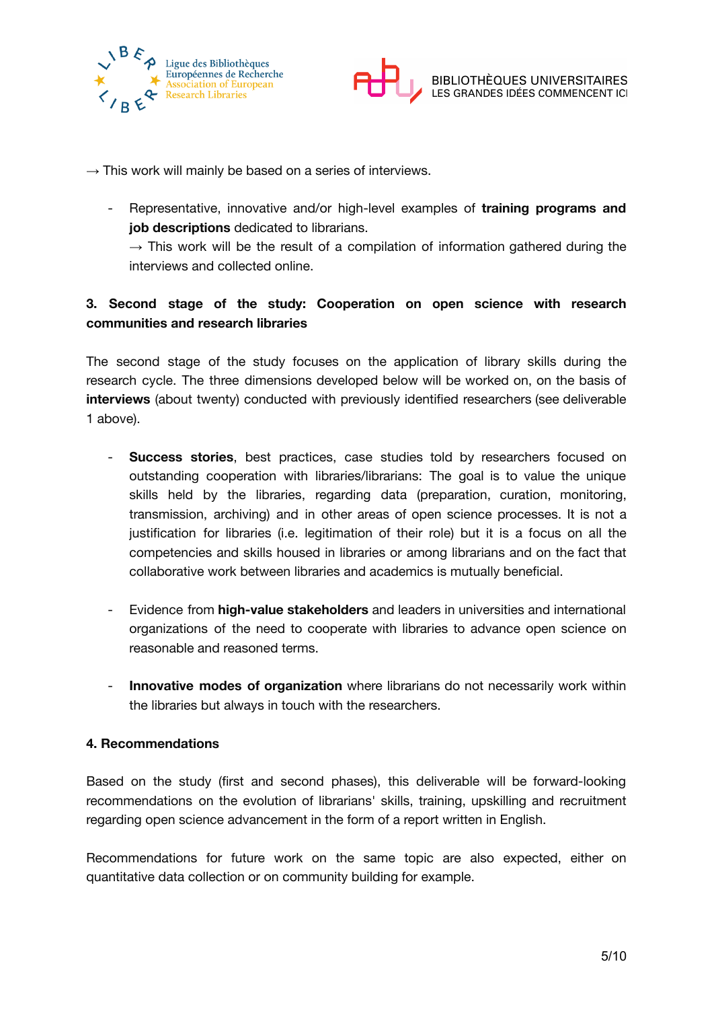



 $\rightarrow$  This work will mainly be based on a series of interviews.

- Representative, innovative and/or high-level examples of **training programs and job descriptions** dedicated to librarians.

 $\rightarrow$  This work will be the result of a compilation of information gathered during the interviews and collected online.

### **3. Second stage of the study: Cooperation on open science with research communities and research libraries**

The second stage of the study focuses on the application of library skills during the research cycle. The three dimensions developed below will be worked on, on the basis of **interviews** (about twenty) conducted with previously identified researchers (see deliverable 1 above).

- **Success stories**, best practices, case studies told by researchers focused on outstanding cooperation with libraries/librarians: The goal is to value the unique skills held by the libraries, regarding data (preparation, curation, monitoring, transmission, archiving) and in other areas of open science processes. It is not a justification for libraries (i.e. legitimation of their role) but it is a focus on all the competencies and skills housed in libraries or among librarians and on the fact that collaborative work between libraries and academics is mutually beneficial.
- Evidence from **high-value stakeholders** and leaders in universities and international organizations of the need to cooperate with libraries to advance open science on reasonable and reasoned terms.
- **Innovative modes of organization** where librarians do not necessarily work within the libraries but always in touch with the researchers.

#### **4. Recommendations**

Based on the study (first and second phases), this deliverable will be forward-looking recommendations on the evolution of librarians' skills, training, upskilling and recruitment regarding open science advancement in the form of a report written in English.

Recommendations for future work on the same topic are also expected, either on quantitative data collection or on community building for example.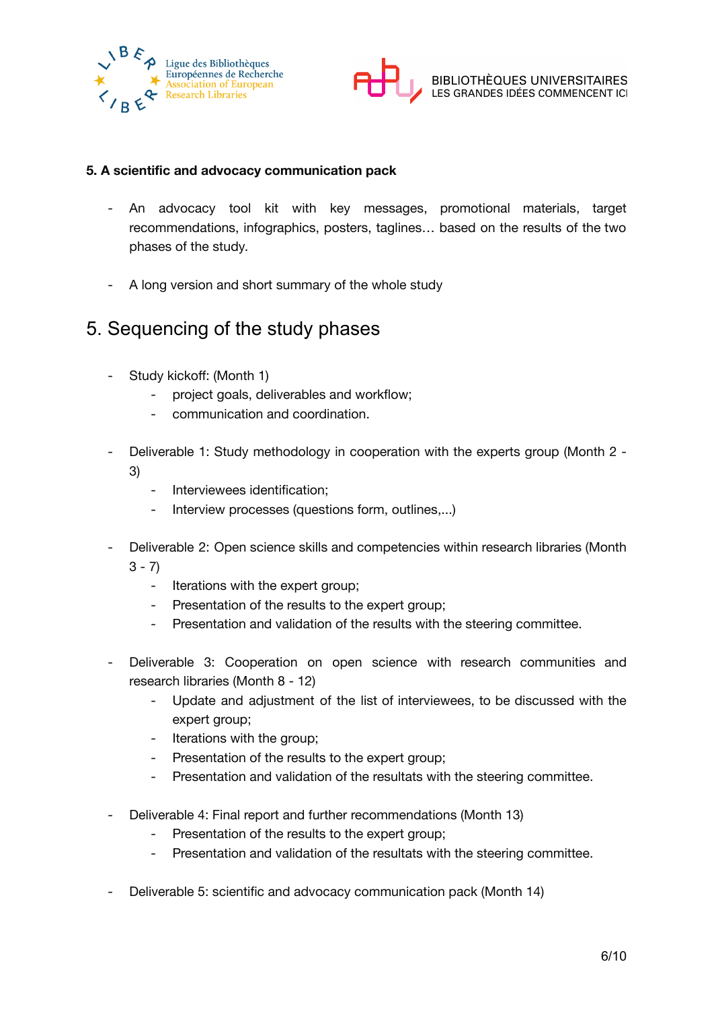



#### **5. A scientific and advocacy communication pack**

- An advocacy tool kit with key messages, promotional materials, target recommendations, infographics, posters, taglines… based on the results of the two phases of the study.
- A long version and short summary of the whole study

### <span id="page-5-0"></span>5. Sequencing of the study phases

- Study kickoff: (Month 1)
	- project goals, deliverables and workflow;
	- communication and coordination.
- Deliverable 1: Study methodology in cooperation with the experts group (Month 2 3)
	- Interviewees identification;
	- Interview processes (questions form, outlines,...)
- Deliverable 2: Open science skills and competencies within research libraries (Month  $3 - 7$ 
	- Iterations with the expert group;
	- Presentation of the results to the expert group:
	- Presentation and validation of the results with the steering committee.
- Deliverable 3: Cooperation on open science with research communities and research libraries (Month 8 - 12)
	- Update and adjustment of the list of interviewees, to be discussed with the expert group;
	- Iterations with the group;
	- Presentation of the results to the expert group;
	- Presentation and validation of the resultats with the steering committee.
- Deliverable 4: Final report and further recommendations (Month 13)
	- Presentation of the results to the expert group;
	- Presentation and validation of the resultats with the steering committee.
- Deliverable 5: scientific and advocacy communication pack (Month 14)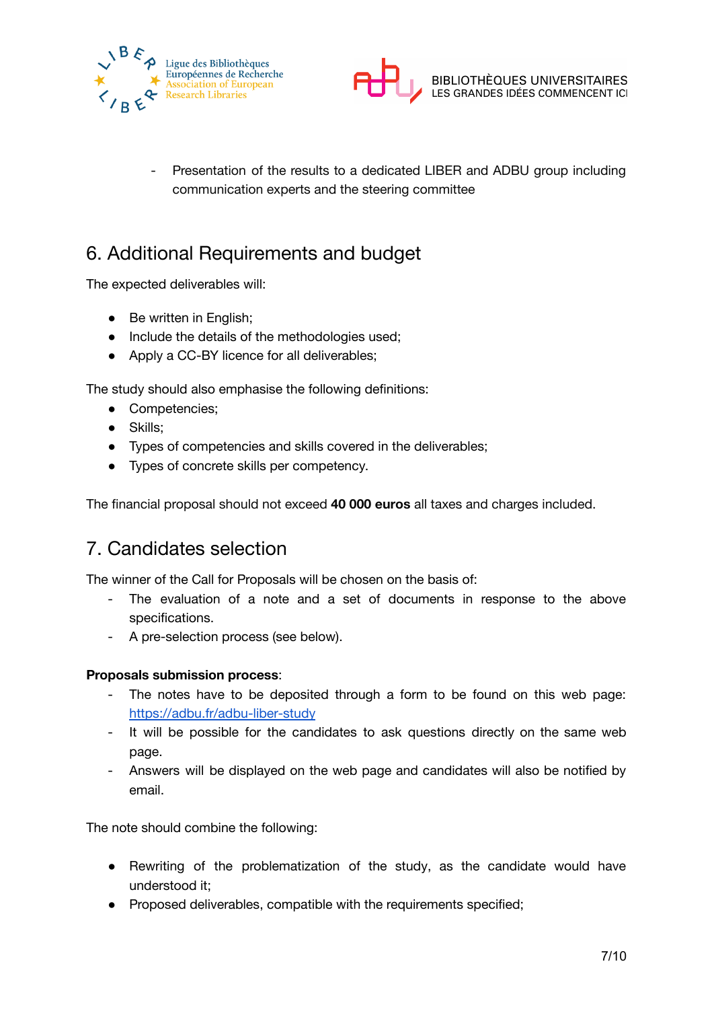



- Presentation of the results to a dedicated LIBER and ADBU group including communication experts and the steering committee

# <span id="page-6-0"></span>6. Additional Requirements and budget

The expected deliverables will:

- Be written in English;
- Include the details of the methodologies used;
- Apply a CC-BY licence for all deliverables;

The study should also emphasise the following definitions:

- Competencies;
- Skills;
- Types of competencies and skills covered in the deliverables;
- Types of concrete skills per competency.

<span id="page-6-1"></span>The financial proposal should not exceed **40 000 euros** all taxes and charges included.

### 7. Candidates selection

The winner of the Call for Proposals will be chosen on the basis of:

- The evaluation of a note and a set of documents in response to the above specifications.
- A pre-selection process (see below).

#### **Proposals submission process**:

- The notes have to be deposited through a form to be found on this web page: <https://adbu.fr/adbu-liber-study>
- It will be possible for the candidates to ask questions directly on the same web page.
- Answers will be displayed on the web page and candidates will also be notified by email.

The note should combine the following:

- Rewriting of the problematization of the study, as the candidate would have understood it;
- Proposed deliverables, compatible with the requirements specified;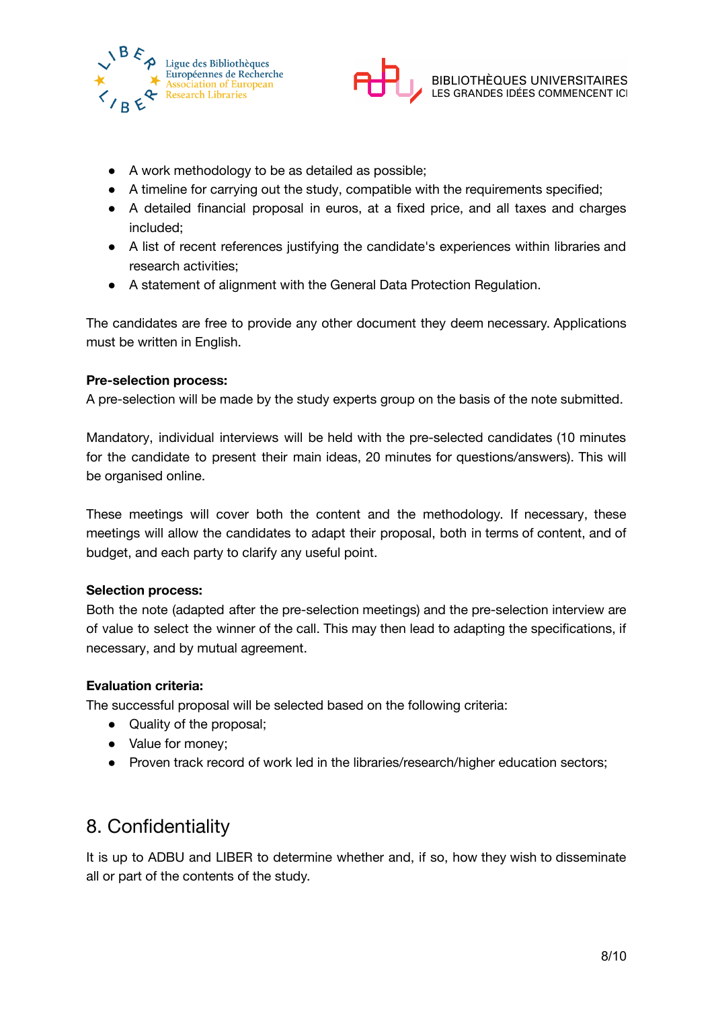

- A work methodology to be as detailed as possible;
- A timeline for carrying out the study, compatible with the requirements specified;
- A detailed financial proposal in euros, at a fixed price, and all taxes and charges included;
- A list of recent references justifying the candidate's experiences within libraries and research activities;
- A statement of alignment with the General Data Protection Regulation.

The candidates are free to provide any other document they deem necessary. Applications must be written in English.

### **Pre-selection process:**

A pre-selection will be made by the study experts group on the basis of the note submitted.

Mandatory, individual interviews will be held with the pre-selected candidates (10 minutes for the candidate to present their main ideas, 20 minutes for questions/answers). This will be organised online.

These meetings will cover both the content and the methodology. If necessary, these meetings will allow the candidates to adapt their proposal, both in terms of content, and of budget, and each party to clarify any useful point.

#### **Selection process:**

Both the note (adapted after the pre-selection meetings) and the pre-selection interview are of value to select the winner of the call. This may then lead to adapting the specifications, if necessary, and by mutual agreement.

### **Evaluation criteria:**

The successful proposal will be selected based on the following criteria:

- Quality of the proposal;
- Value for money;
- Proven track record of work led in the libraries/research/higher education sectors;

# <span id="page-7-0"></span>8. Confidentiality

It is up to ADBU and LIBER to determine whether and, if so, how they wish to disseminate all or part of the contents of the study.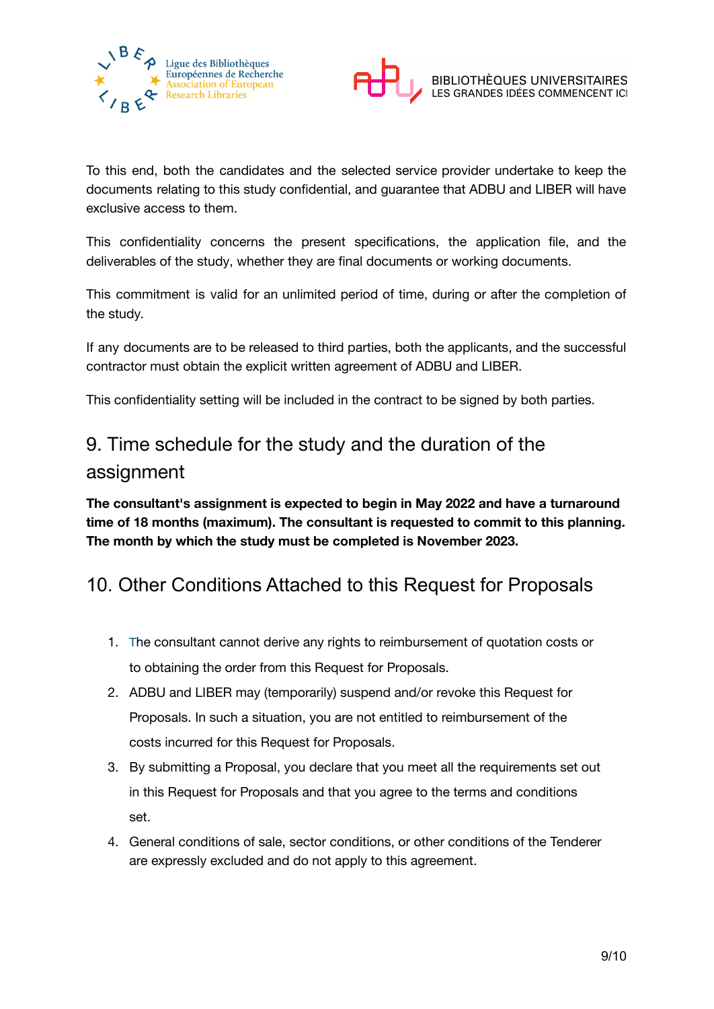



To this end, both the candidates and the selected service provider undertake to keep the documents relating to this study confidential, and guarantee that ADBU and LIBER will have exclusive access to them.

This confidentiality concerns the present specifications, the application file, and the deliverables of the study, whether they are final documents or working documents.

This commitment is valid for an unlimited period of time, during or after the completion of the study.

If any documents are to be released to third parties, both the applicants, and the successful contractor must obtain the explicit written agreement of ADBU and LIBER.

This confidentiality setting will be included in the contract to be signed by both parties.

# <span id="page-8-0"></span>9. Time schedule for the study and the duration of the assignment

**The consultant's assignment is expected to begin in May 2022 and have a turnaround time of 18 months (maximum). The consultant is requested to commit to this planning. The month by which the study must be completed is November 2023.**

# <span id="page-8-1"></span>10. Other Conditions Attached to this Request for Proposals

- 1. The consultant cannot derive any rights to reimbursement of quotation costs or to obtaining the order from this Request for Proposals.
- 2. ADBU and LIBER may (temporarily) suspend and/or revoke this Request for Proposals. In such a situation, you are not entitled to reimbursement of the costs incurred for this Request for Proposals.
- 3. By submitting a Proposal, you declare that you meet all the requirements set out in this Request for Proposals and that you agree to the terms and conditions set.
- 4. General conditions of sale, sector conditions, or other conditions of the Tenderer are expressly excluded and do not apply to this agreement.